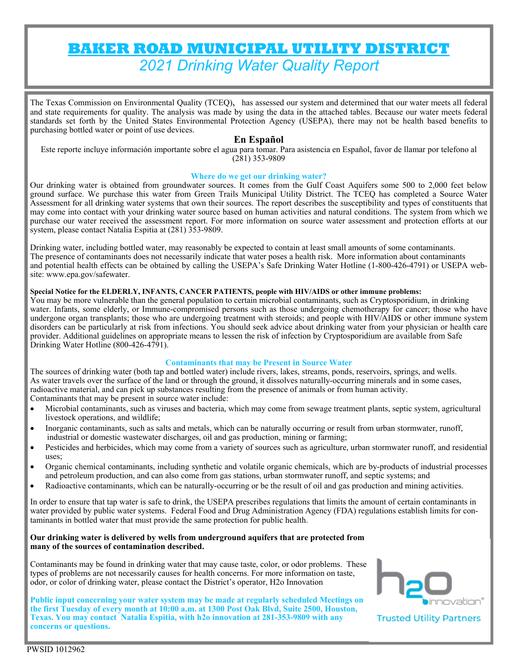# **BAKER ROAD MUNICIPAL UTILITY DISTRICT**  *2021 Drinking Water Quality Report*

The Texas Commission on Environmental Quality (TCEQ), has assessed our system and determined that our water meets all federal and state requirements for quality. The analysis was made by using the data in the attached tables. Because our water meets federal standards set forth by the United States Environmental Protection Agency (USEPA), there may not be health based benefits to purchasing bottled water or point of use devices.

# **En Español**

Este reporte incluye información importante sobre el agua para tomar. Para asistencia en Español, favor de llamar por telefono al (281) 353-9809

#### **Where do we get our drinking water?**

Our drinking water is obtained from groundwater sources. It comes from the Gulf Coast Aquifers some 500 to 2,000 feet below ground surface. We purchase this water from Green Trails Municipal Utility District. The TCEQ has completed a Source Water Assessment for all drinking water systems that own their sources. The report describes the susceptibility and types of constituents that may come into contact with your drinking water source based on human activities and natural conditions. The system from which we purchase our water received the assessment report. For more information on source water assessment and protection efforts at our system, please contact Natalia Espitia at (281) 353-9809.

Drinking water, including bottled water, may reasonably be expected to contain at least small amounts of some contaminants. The presence of contaminants does not necessarily indicate that water poses a health risk. More information about contaminants and potential health effects can be obtained by calling the USEPA's Safe Drinking Water Hotline (1-800-426-4791) or USEPA website: www.epa.gov/safewater.

# **Special Notice for the ELDERLY, INFANTS, CANCER PATIENTS, people with HIV/AIDS or other immune problems:**

You may be more vulnerable than the general population to certain microbial contaminants, such as Cryptosporidium, in drinking water. Infants, some elderly, or Immune-compromised persons such as those undergoing chemotherapy for cancer; those who have undergone organ transplants; those who are undergoing treatment with steroids; and people with HIV/AIDS or other immune system disorders can be particularly at risk from infections. You should seek advice about drinking water from your physician or health care provider. Additional guidelines on appropriate means to lessen the risk of infection by Cryptosporidium are available from Safe Drinking Water Hotline (800-426-4791).

### **Contaminants that may be Present in Source Water**

The sources of drinking water (both tap and bottled water) include rivers, lakes, streams, ponds, reservoirs, springs, and wells. As water travels over the surface of the land or through the ground, it dissolves naturally-occurring minerals and in some cases, radioactive material, and can pick up substances resulting from the presence of animals or from human activity. Contaminants that may be present in source water include:

- Microbial contaminants, such as viruses and bacteria, which may come from sewage treatment plants, septic system, agricultural livestock operations, and wildlife;
- Inorganic contaminants, such as salts and metals, which can be naturally occurring or result from urban stormwater, runoff, industrial or domestic wastewater discharges, oil and gas production, mining or farming;
- Pesticides and herbicides, which may come from a variety of sources such as agriculture, urban stormwater runoff, and residential uses;
- Organic chemical contaminants, including synthetic and volatile organic chemicals, which are by-products of industrial processes and petroleum production, and can also come from gas stations, urban stormwater runoff, and septic systems; and
- Radioactive contaminants, which can be naturally-occurring or be the result of oil and gas production and mining activities.

In order to ensure that tap water is safe to drink, the USEPA prescribes regulations that limits the amount of certain contaminants in water provided by public water systems. Federal Food and Drug Administration Agency (FDA) regulations establish limits for contaminants in bottled water that must provide the same protection for public health.

#### **Our drinking water is delivered by wells from underground aquifers that are protected from many of the sources of contamination described.**

Contaminants may be found in drinking water that may cause taste, color, or odor problems. These types of problems are not necessarily causes for health concerns. For more information on taste, odor, or color of drinking water, please contact the District's operator, H2o Innovation

**Public input concerning your water system may be made at regularly scheduled Meetings on the first Tuesday of every month at 10:00 a.m. at 1300 Post Oak Blvd, Suite 2500, Houston, Texas. You may contact Natalia Espitia, with h2o innovation at 281-353-9809 with any concerns or questions.** 

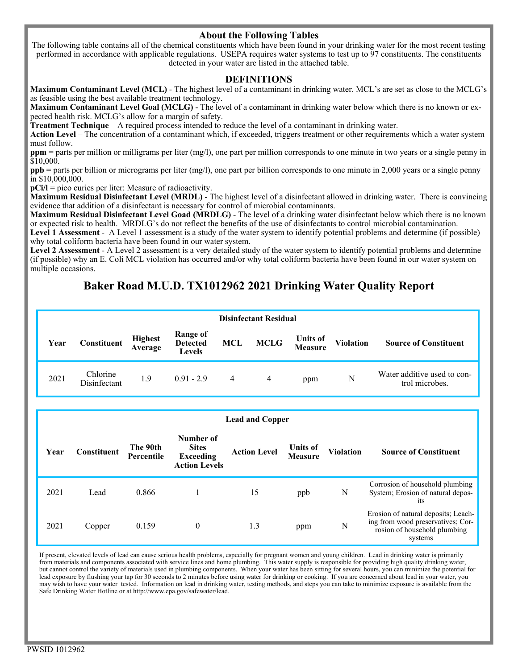# **About the Following Tables**

The following table contains all of the chemical constituents which have been found in your drinking water for the most recent testing performed in accordance with applicable regulations. USEPA requires water systems to test up to 97 constituents. The constituents detected in your water are listed in the attached table.

## **DEFINITIONS**

**Maximum Contaminant Level (MCL)** - The highest level of a contaminant in drinking water. MCL's are set as close to the MCLG's as feasible using the best available treatment technology.

**Maximum Contaminant Level Goal (MCLG)** - The level of a contaminant in drinking water below which there is no known or expected health risk. MCLG's allow for a margin of safety.

**Treatment Technique** – A required process intended to reduce the level of a contaminant in drinking water.

Action Level – The concentration of a contaminant which, if exceeded, triggers treatment or other requirements which a water system must follow.

**ppm** = parts per million or milligrams per liter (mg/l), one part per million corresponds to one minute in two years or a single penny in \$10,000.

**ppb** = parts per billion or micrograms per liter (mg/l), one part per billion corresponds to one minute in 2,000 years or a single penny in \$10,000,000.

**pCi/l** = pico curies per liter: Measure of radioactivity.

**Maximum Residual Disinfectant Level (MRDL)** - The highest level of a disinfectant allowed in drinking water. There is convincing evidence that addition of a disinfectant is necessary for control of microbial contaminants.

**Maximum Residual Disinfectant Level Goad (MRDLG)** - The level of a drinking water disinfectant below which there is no known or expected risk to health. MRDLG's do not reflect the benefits of the use of disinfectants to control microbial contamination.

**Level 1 Assessment** - A Level 1 assessment is a study of the water system to identify potential problems and determine (if possible) why total coliform bacteria have been found in our water system.

**Level 2 Assessment** - A Level 2 assessment is a very detailed study of the water system to identify potential problems and determine (if possible) why an E. Coli MCL violation has occurred and/or why total coliform bacteria have been found in our water system on multiple occasions.

# **Baker Road M.U.D. TX1012962 2021 Drinking Water Quality Report**

| <b>Disinfectant Residual</b> |                          |                           |                                              |                |             |                                   |                  |                                               |  |  |
|------------------------------|--------------------------|---------------------------|----------------------------------------------|----------------|-------------|-----------------------------------|------------------|-----------------------------------------------|--|--|
| Year                         | Constituent              | <b>Highest</b><br>Average | <b>Range of</b><br><b>Detected</b><br>Levels | <b>MCL</b>     | <b>MCLG</b> | <b>Units of</b><br><b>Measure</b> | <b>Violation</b> | <b>Source of Constituent</b>                  |  |  |
| 2021                         | Chlorine<br>Disinfectant | 1.9                       | $0.91 - 2.9$                                 | $\overline{4}$ | 4           | ppm                               | N                | Water additive used to con-<br>trol microbes. |  |  |

|      | <b>Lead and Copper</b> |                        |                                                                       |                     |                                   |                  |                                                                                                                     |  |  |  |  |
|------|------------------------|------------------------|-----------------------------------------------------------------------|---------------------|-----------------------------------|------------------|---------------------------------------------------------------------------------------------------------------------|--|--|--|--|
| Year | <b>Constituent</b>     | The 90th<br>Percentile | Number of<br><b>Sites</b><br><b>Exceeding</b><br><b>Action Levels</b> | <b>Action Level</b> | <b>Units of</b><br><b>Measure</b> | <b>Violation</b> | <b>Source of Constituent</b>                                                                                        |  |  |  |  |
| 2021 | Lead                   | 0.866                  |                                                                       | 15                  | ppb                               | N                | Corrosion of household plumbing<br>System; Erosion of natural depos-<br><sub>1</sub> t <sub>s</sub>                 |  |  |  |  |
| 2021 | Copper                 | 0.159                  | $\theta$                                                              | 1.3                 | ppm                               | N                | Erosion of natural deposits; Leach-<br>ing from wood preservatives; Cor-<br>rosion of household plumbing<br>systems |  |  |  |  |

If present, elevated levels of lead can cause serious health problems, especially for pregnant women and young children. Lead in drinking water is primarily from materials and components associated with service lines and home plumbing. This water supply is responsible for providing high quality drinking water, but cannot control the variety of materials used in plumbing components. When your water has been sitting for several hours, you can minimize the potential for lead exposure by flushing your tap for 30 seconds to 2 minutes before using water for drinking or cooking. If you are concerned about lead in your water, you may wish to have your water tested. Information on lead in drinking water, testing methods, and steps you can take to minimize exposure is available from the Safe Drinking Water Hotline or at http://www.epa.gov/safewater/lead.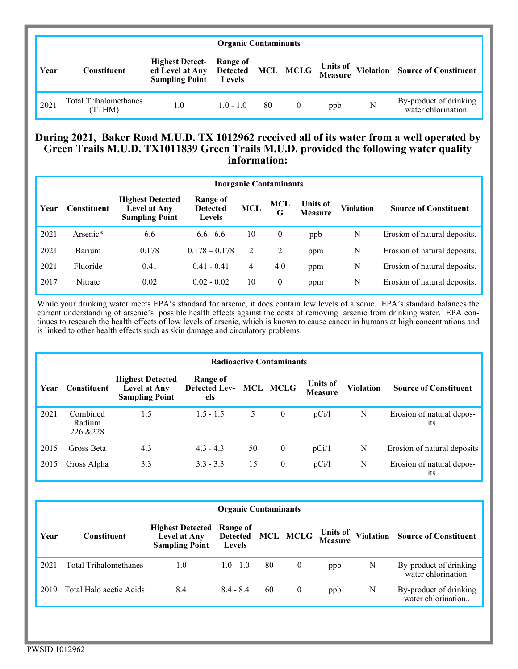| <b>Organic Contaminants</b> |                                 |                                                          |             |    |          |     |   |                                                                            |  |
|-----------------------------|---------------------------------|----------------------------------------------------------|-------------|----|----------|-----|---|----------------------------------------------------------------------------|--|
| Year                        | Constituent                     | <b>Highest Detect-</b> Range of<br><b>Sampling Point</b> | Levels      |    |          |     |   | ed Level at Any Detected MCL MCLG Units of Violation Source of Constituent |  |
| 2021                        | Total Trihalomethanes<br>(TTHM) | 1.0                                                      | $1.0 - 1.0$ | 80 | $\bf{0}$ | ppb | N | By-product of drinking<br>water chlorination.                              |  |

# **During 2021, Baker Road M.U.D. TX 1012962 received all of its water from a well operated by Green Trails M.U.D. TX1011839 Green Trails M.U.D. provided the following water quality information:**

| <b>Inorganic Contaminants</b> |                    |                                                                  |                                              |            |          |                                   |                  |                              |  |  |
|-------------------------------|--------------------|------------------------------------------------------------------|----------------------------------------------|------------|----------|-----------------------------------|------------------|------------------------------|--|--|
| Year                          | <b>Constituent</b> | <b>Highest Detected</b><br>Level at Any<br><b>Sampling Point</b> | Range of<br><b>Detected</b><br><b>Levels</b> | <b>MCL</b> | MCL<br>G | <b>Units of</b><br><b>Measure</b> | <b>Violation</b> | <b>Source of Constituent</b> |  |  |
| 2021                          | Arsenic*           | 6.6                                                              | $6.6 - 6.6$                                  | 10         | $\bf{0}$ | ppb                               | N                | Erosion of natural deposits. |  |  |
| 2021                          | Barium             | 0.178                                                            | $0.178 - 0.178$                              | 2          | 2        | ppm                               | N                | Erosion of natural deposits. |  |  |
| 2021                          | Fluoride           | 0.41                                                             | $0.41 - 0.41$                                | 4          | 4.0      | ppm                               | N                | Erosion of natural deposits. |  |  |
| 2017                          | Nitrate            | 0.02                                                             | $0.02 - 0.02$                                | 10         | $\theta$ | ppm                               | N                | Erosion of natural deposits. |  |  |

While your drinking water meets EPA's standard for arsenic, it does contain low levels of arsenic. EPA's standard balances the current understanding of arsenic's possible health effects against the costs of removing arsenic from drinking water. EPA continues to research the health effects of low levels of arsenic, which is known to cause cancer in humans at high concentrations and is linked to other health effects such as skin damage and circulatory problems.

|      | <b>Radioactive Contaminants</b> |                                                                         |                                         |    |                 |                                   |                  |                                   |  |  |
|------|---------------------------------|-------------------------------------------------------------------------|-----------------------------------------|----|-----------------|-----------------------------------|------------------|-----------------------------------|--|--|
| Year | Constituent                     | <b>Highest Detected</b><br><b>Level at Any</b><br><b>Sampling Point</b> | Range of<br><b>Detected Lev-</b><br>els |    | <b>MCL MCLG</b> | <b>Units of</b><br><b>Measure</b> | <b>Violation</b> | <b>Source of Constituent</b>      |  |  |
| 2021 | Combined<br>Radium<br>226 & 228 | 1.5                                                                     | $1.5 - 1.5$                             | 5  | $\mathbf{0}$    | pCi/l                             | N                | Erosion of natural depos-<br>its. |  |  |
| 2015 | Gross Beta                      | 4.3                                                                     | $4.3 - 4.3$                             | 50 | $\theta$        | pCi/1                             | N                | Erosion of natural deposits       |  |  |
| 2015 | Gross Alpha                     | 3.3                                                                     | $3.3 - 3.3$                             | 15 | $\theta$        | pCi/l                             | N                | Erosion of natural depos-<br>its. |  |  |

|      | <b>Organic Contaminants</b> |                                                                  |                                              |    |                 |                                   |   |                                               |  |  |  |
|------|-----------------------------|------------------------------------------------------------------|----------------------------------------------|----|-----------------|-----------------------------------|---|-----------------------------------------------|--|--|--|
| Year | Constituent                 | <b>Highest Detected</b><br>Level at Any<br><b>Sampling Point</b> | Range of<br><b>Detected</b><br><b>Levels</b> |    | <b>MCL MCLG</b> | <b>Units of</b><br><b>Measure</b> |   | <b>Violation</b> Source of Constituent        |  |  |  |
| 2021 | Total Trihalomethanes       | 1.0                                                              | $1.0 - 1.0$                                  | 80 | $\overline{0}$  | ppb                               | N | By-product of drinking<br>water chlorination. |  |  |  |
| 2019 | Total Halo acetic Acids     | 8.4                                                              | $8.4 - 8.4$                                  | 60 | $\theta$        | ppb                               | N | By-product of drinking<br>water chlorination  |  |  |  |